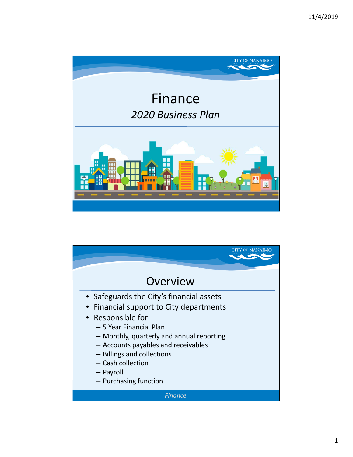

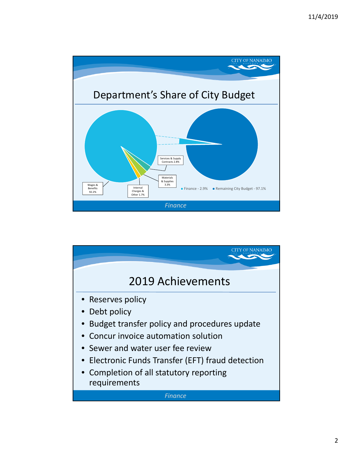

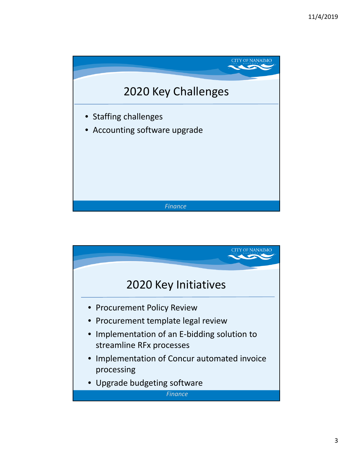

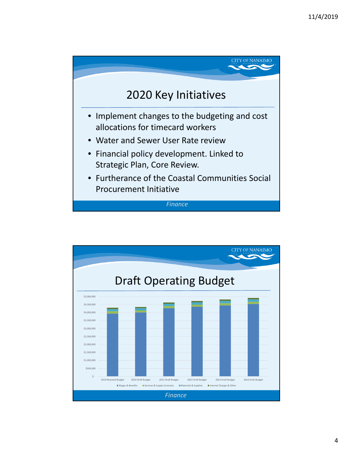